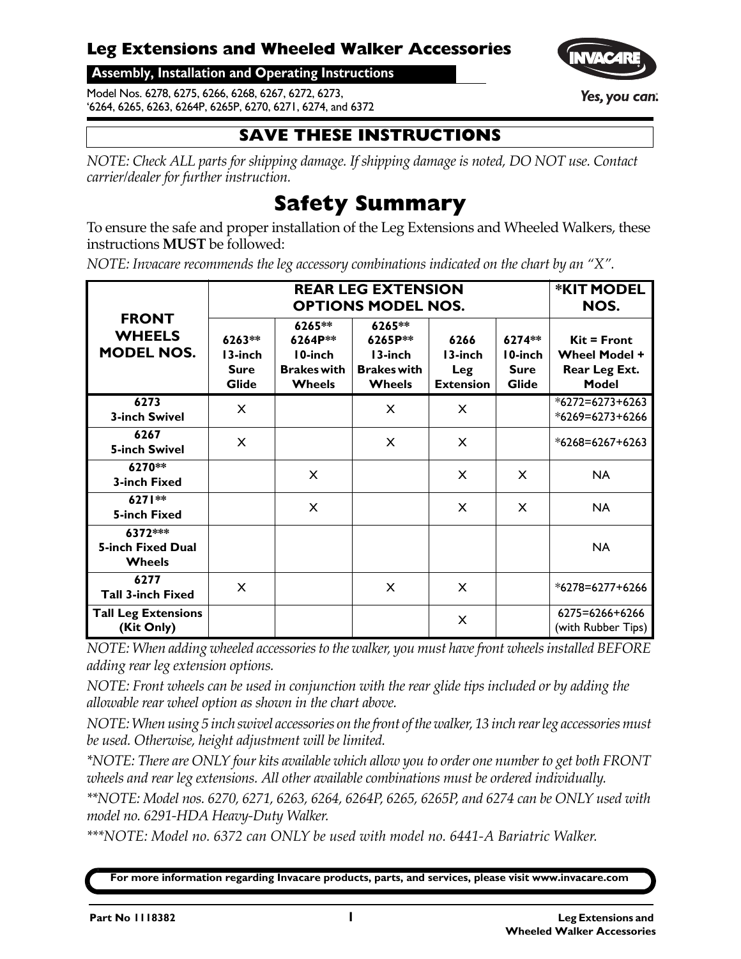#### **Leg Extensions and Wheeled Walker Accessories**

**Assembly, Installation and Operating Instructions**

Model Nos. 6278, 6275, 6266, 6268, 6267, 6272, 6273, '6264, 6265, 6263, 6264P, 6265P, 6270, 6271, 6274, and 6372

#### **SAVE THESE INSTRUCTIONS**

*NOTE: Check ALL parts for shipping damage. If shipping damage is noted, DO NOT use. Contact carrier/dealer for further instruction.*

# **Safety Summary**

To ensure the safe and proper installation of the Leg Extensions and Wheeled Walkers, these instructions **MUST** be followed:

*NOTE: Invacare recommends the leg accessory combinations indicated on the chart by an "X".*

| <b>FRONT</b><br><b>WHEELS</b><br><b>MODEL NOS.</b>   |                                                  | <b>*KIT MODEL</b><br>NOS.                                           |                                                                     |                                            |                                                  |                                                                               |
|------------------------------------------------------|--------------------------------------------------|---------------------------------------------------------------------|---------------------------------------------------------------------|--------------------------------------------|--------------------------------------------------|-------------------------------------------------------------------------------|
|                                                      | 6263**<br>13-inch<br><b>Sure</b><br><b>Glide</b> | 6265**<br>6264P**<br>10-inch<br><b>Brakes with</b><br><b>Wheels</b> | 6265**<br>6265P**<br>13-inch<br><b>Brakes with</b><br><b>Wheels</b> | 6266<br>13-inch<br>Leg<br><b>Extension</b> | 6274**<br>10-inch<br><b>Sure</b><br><b>Glide</b> | $\text{Kit} = \text{Front}$<br><b>Wheel Model +</b><br>Rear Leg Ext.<br>Model |
| 6273<br><b>3-inch Swivel</b>                         | X                                                |                                                                     | X                                                                   | $\times$                                   |                                                  | $*6272 = 6273 + 6263$<br>*6269=6273+6266                                      |
| 6267<br><b>5-inch Swivel</b>                         | X                                                |                                                                     | X                                                                   | $\times$                                   |                                                  | $*6268=6267+6263$                                                             |
| 6270**<br><b>3-inch Fixed</b>                        |                                                  | X                                                                   |                                                                     | X                                          | X                                                | <b>NA</b>                                                                     |
| $6271**$<br><b>5-inch Fixed</b>                      |                                                  | X                                                                   |                                                                     | X                                          | X                                                | <b>NA</b>                                                                     |
| 6372***<br><b>5-inch Fixed Dual</b><br><b>Wheels</b> |                                                  |                                                                     |                                                                     |                                            |                                                  | <b>NA</b>                                                                     |
| 6277<br><b>Tall 3-inch Fixed</b>                     | $\times$                                         |                                                                     | X                                                                   | $\times$                                   |                                                  | $*6278 = 6277 + 6266$                                                         |
| <b>Tall Leg Extensions</b><br>(Kit Only)             |                                                  |                                                                     |                                                                     | X                                          |                                                  | 6275=6266+6266<br>(with Rubber Tips)                                          |

*NOTE: When adding wheeled accessoriesto the walker, you must havefront wheelsinstalled BEFORE adding rear leg extension options.*

*NOTE: Front wheels can be used in conjunction with the rear glide tips included or by adding the allowable rear wheel option as shown in the chart above.*

*NOTE:When using 5 inch swivel accessories on thefront ofthe walker, 13 inch rearleg accessoriesmust be used. Otherwise, height adjustment will be limited.*

*\*NOTE: There are ONLY four kits available which allow you to order one numberto get both FRONT wheels and rear leg extensions. All other available combinations must be ordered individually.*

*\*\*NOTE: Model nos. 6270, 6271, 6263, 6264, 6264P, 6265, 6265P, and 6274 can be ONLY used with model no. 6291‐HDA Heavy‐Duty Walker.*

*\*\*\*NOTE: Model no. 6372 can ONLY be used with model no. 6441‐A Bariatric Walker.*

**For more information regarding Invacare products, parts, and services, please visit www.invacare.com**

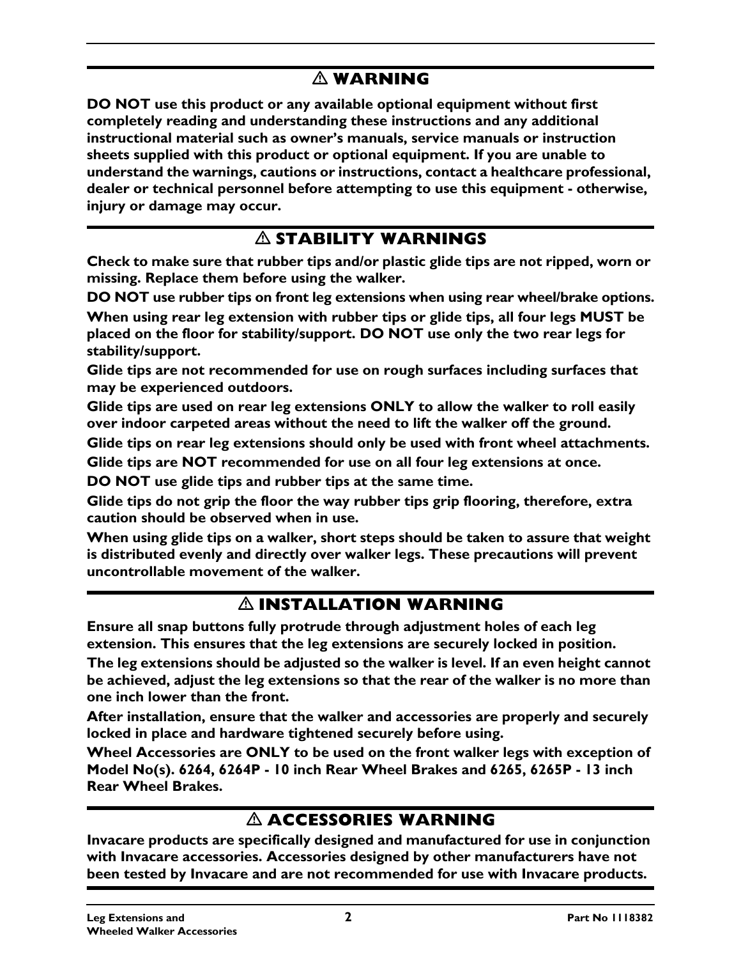#### **WARNING**

**DO NOT use this product or any available optional equipment without first completely reading and understanding these instructions and any additional instructional material such as owner's manuals, service manuals or instruction sheets supplied with this product or optional equipment. If you are unable to understand the warnings, cautions or instructions, contact a healthcare professional, dealer or technical personnel before attempting to use this equipment - otherwise, injury or damage may occur.**

#### **STABILITY WARNINGS**

**Check to make sure that rubber tips and/or plastic glide tips are not ripped, worn or missing. Replace them before using the walker.**

**DO NOT use rubber tips on front leg extensions when using rear wheel/brake options.**

**When using rear leg extension with rubber tips or glide tips, all four legs MUST be placed on the floor for stability/support. DO NOT use only the two rear legs for stability/support.**

**Glide tips are not recommended for use on rough surfaces including surfaces that may be experienced outdoors.**

**Glide tips are used on rear leg extensions ONLY to allow the walker to roll easily over indoor carpeted areas without the need to lift the walker off the ground.** 

**Glide tips on rear leg extensions should only be used with front wheel attachments.**

**Glide tips are NOT recommended for use on all four leg extensions at once.**

**DO NOT use glide tips and rubber tips at the same time.**

**Glide tips do not grip the floor the way rubber tips grip flooring, therefore, extra caution should be observed when in use.** 

**When using glide tips on a walker, short steps should be taken to assure that weight is distributed evenly and directly over walker legs. These precautions will prevent uncontrollable movement of the walker.**

#### **INSTALLATION WARNING**

<span id="page-1-0"></span>**Ensure all snap buttons fully protrude through adjustment holes of each leg extension. This ensures that the leg extensions are securely locked in position.**

**The leg extensions should be adjusted so the walker is level. If an even height cannot be achieved, adjust the leg extensions so that the rear of the walker is no more than one inch lower than the front.**

**After installation, ensure that the walker and accessories are properly and securely locked in place and hardware tightened securely before using.**

**Wheel Accessories are ONLY to be used on the front walker legs with exception of Model No(s). 6264, 6264P - 10 inch Rear Wheel Brakes and 6265, 6265P - 13 inch Rear Wheel Brakes.**

#### **ACCESSORIES WARNING**

**Invacare products are specifically designed and manufactured for use in conjunction with Invacare accessories. Accessories designed by other manufacturers have not been tested by Invacare and are not recommended for use with Invacare products.**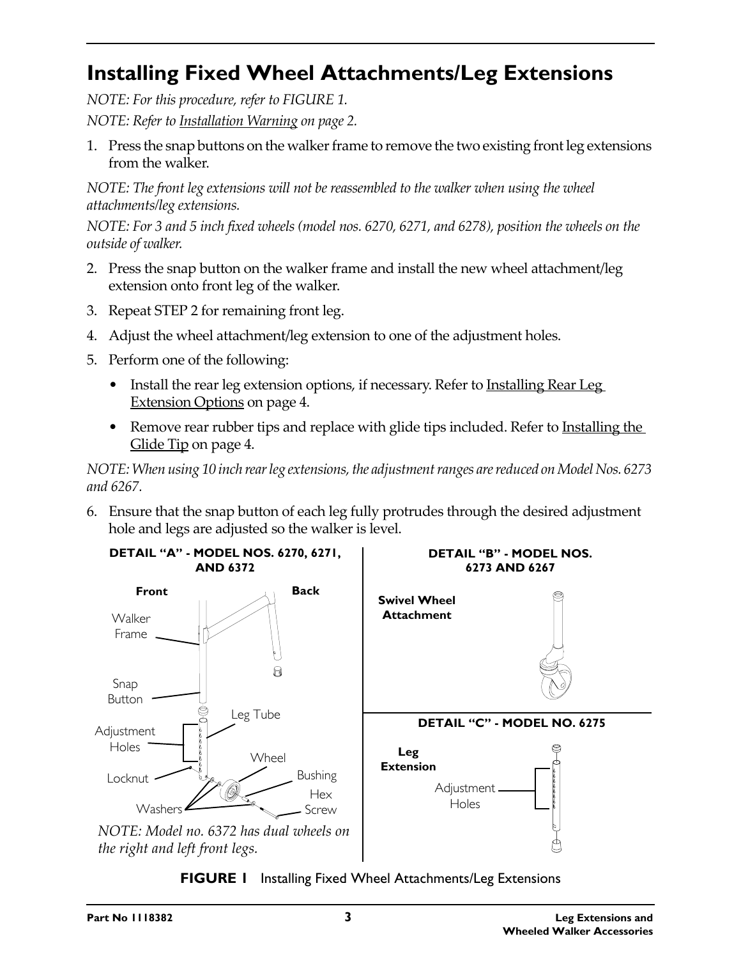# <span id="page-2-0"></span>**Installing Fixed Wheel Attachments/Leg Extensions**

*NOTE: For this procedure, refer to [FIGURE 1.](#page-2-1)*

*NOTE: Refer to [Installation](#page-1-0) Warning on page 2.*

1. Press the snap buttons on the walker frame to remove the two existing frontleg extensions from the walker.

*NOTE: The front leg extensions will not be reassembled to the walker when using the wheel attachments/leg extensions.*

NOTE: For 3 and 5 inch fixed wheels (model nos. 6270, 6271, and 6278), position the wheels on the *outside of walker.*

- 2. Press the snap button on the walker frame and install the new wheel attachment/leg extension onto front leg of the walker.
- 3. Repeat STEP 2 for remaining front leg.
- 4. Adjust the wheel attachment/leg extension to one of the adjustment holes.
- 5. Perform one of the following:
	- Install the rear leg extension options, if necessary. Refer to [Installing](#page-3-0) Rear Leg [Extension](#page-3-0) Options on page 4.
	- Remove rear rubber tips and replace with glide tips included. Refer to [Installing](#page-3-1) the Glide Tip on [page 4.](#page-3-1)

*NOTE:When using 10 inch rearleg extensions,the adjustmentranges arereduced onModelNos. 6273 and 6267.*

6. Ensure that the snap button of each leg fully protrudes through the desired adjustment hole and legs are adjusted so the walker is level.



<span id="page-2-1"></span>**FIGURE 1** [Installing Fixed Wheel Attachments/Leg Extensions](#page-2-0)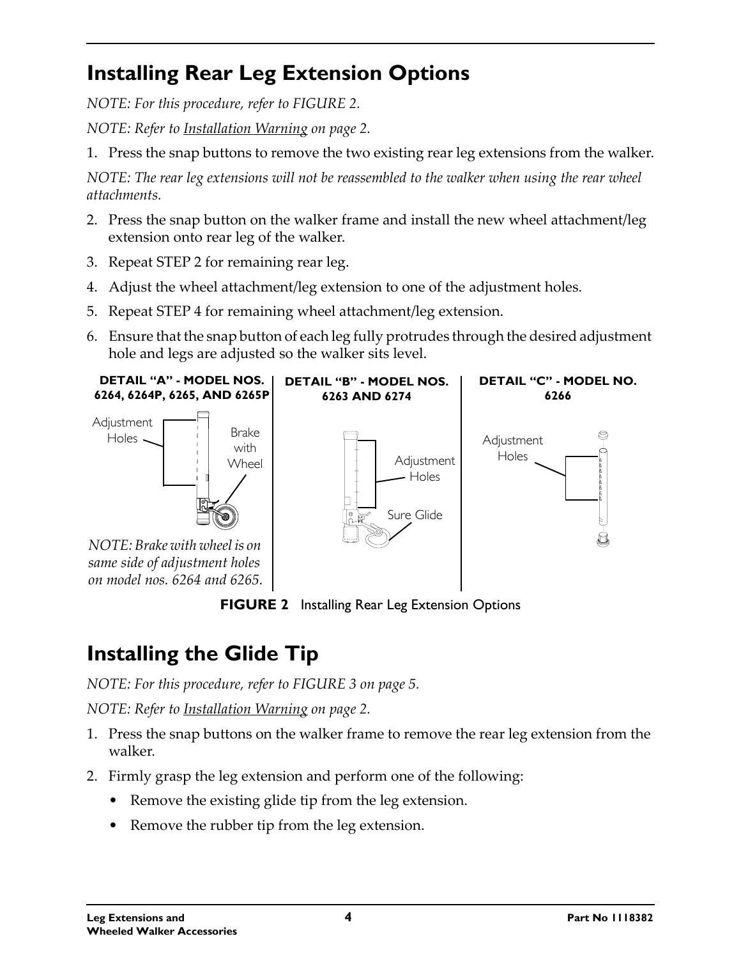# <span id="page-3-0"></span>**Installing Rear Leg Extension Options**

*NOTE: For this procedure, refer to [FIGURE 2.](#page-3-2)*

*NOTE: Refer to [Installation](#page-1-0) Warning on page 2.*

1. Press the snap buttons to remove the two existing rear leg extensions from the walker.

*NOTE: The rear leg extensions will not be reassembled to the walker when using the rear wheel attachments.*

- 2. Press the snap button on the walker frame and install the new wheel attachment/leg extension onto rear leg of the walker.
- 3. Repeat STEP 2 for remaining rear leg.
- 4. Adjust the wheel attachment/leg extension to one of the adjustment holes.
- 5. Repeat STEP 4 for remaining wheel attachment/leg extension.
- 6. Ensure that the snap button of each leg fully protrudes through the desired adjustment hole and legs are adjusted so the walker sits level.



**FIGURE 2** [Installing Rear Leg Extension Options](#page-3-0)

# <span id="page-3-2"></span><span id="page-3-1"></span>**Installing the Glide Tip**

*NOTE: For this procedure, refer to [FIGURE 3](#page-4-0) on page 5.*

*NOTE: Refer to [Installation](#page-1-0) Warning on page 2.*

- 1. Press the snap buttons on the walker frame to remove the rear leg extension from the walker.
- 2. Firmly grasp the leg extension and perform one of the following:
	- Remove the existing glide tip from the leg extension.
	- Remove the rubber tip from the leg extension.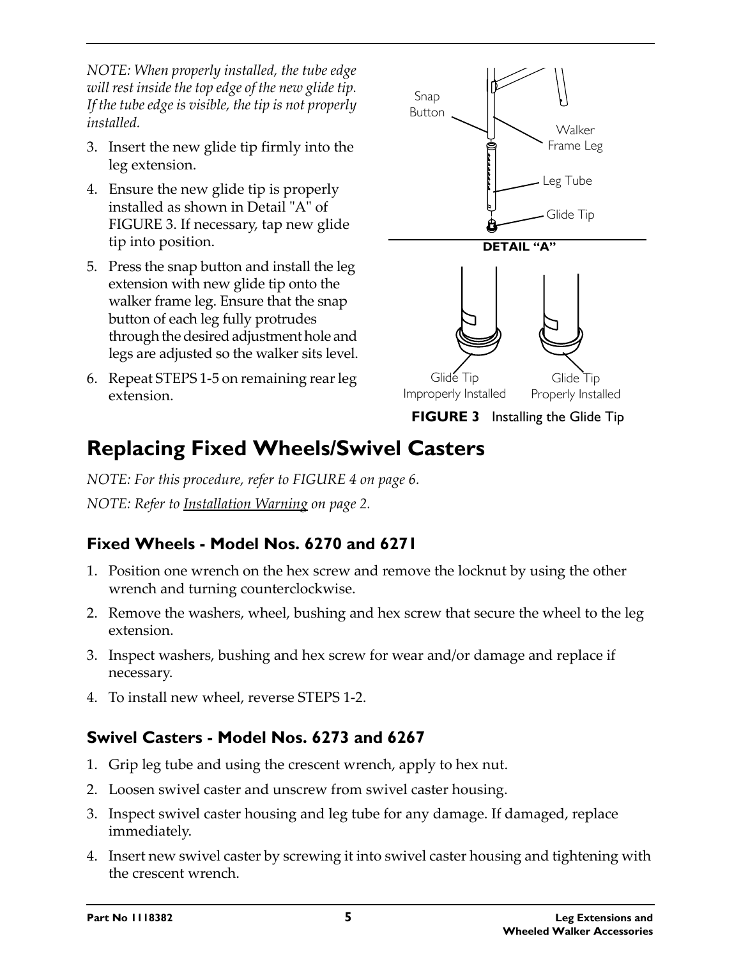*NOTE: When properly installed, the tube edge will rest inside the top edge of the new glide tip. If the tube edge is visible, the tip is not properly installed.*

- 3. Insert the new glide tip firmly into the leg extension.
- 4. Ensure the new glide tip is properly installed as shown in Detail "A" of [FIGURE 3](#page-4-0). If necessary, tap new glide tip into position.
- 5. Press the snap button and install the leg extension with new glide tip onto the walker frame leg. Ensure that the snap button of each leg fully protrudes through the desired adjustment hole and legs are adjusted so the walker sits level.
- 6. Repeat STEPS 1‐5 on remaining rearleg extension.



<span id="page-4-0"></span>**FIGURE 3** [Installing the Glide Tip](#page-3-1)

## <span id="page-4-1"></span>**Replacing Fixed Wheels/Swivel Casters**

*NOTE: For this procedure, refer to [FIGURE 4](#page-5-0) on page 6. NOTE: Refer to [Installation](#page-1-0) Warning on page 2.*

#### **Fixed Wheels - Model Nos. 6270 and 6271**

- 1. Position one wrench on the hex screw and remove the locknut by using the other wrench and turning counterclockwise.
- 2. Remove the washers, wheel, bushing and hex screw that secure the wheel to the leg extension.
- 3. Inspect washers, bushing and hex screw for wear and/or damage and replace if necessary.
- 4. To install new wheel, reverse STEPS 1‐2.

#### **Swivel Casters - Model Nos. 6273 and 6267**

- 1. Grip leg tube and using the crescent wrench, apply to hex nut.
- 2. Loosen swivel caster and unscrew from swivel caster housing.
- 3. Inspect swivel caster housing and leg tube for any damage. If damaged, replace immediately.
- 4. Insert new swivel caster by screwing it into swivel caster housing and tightening with the crescent wrench.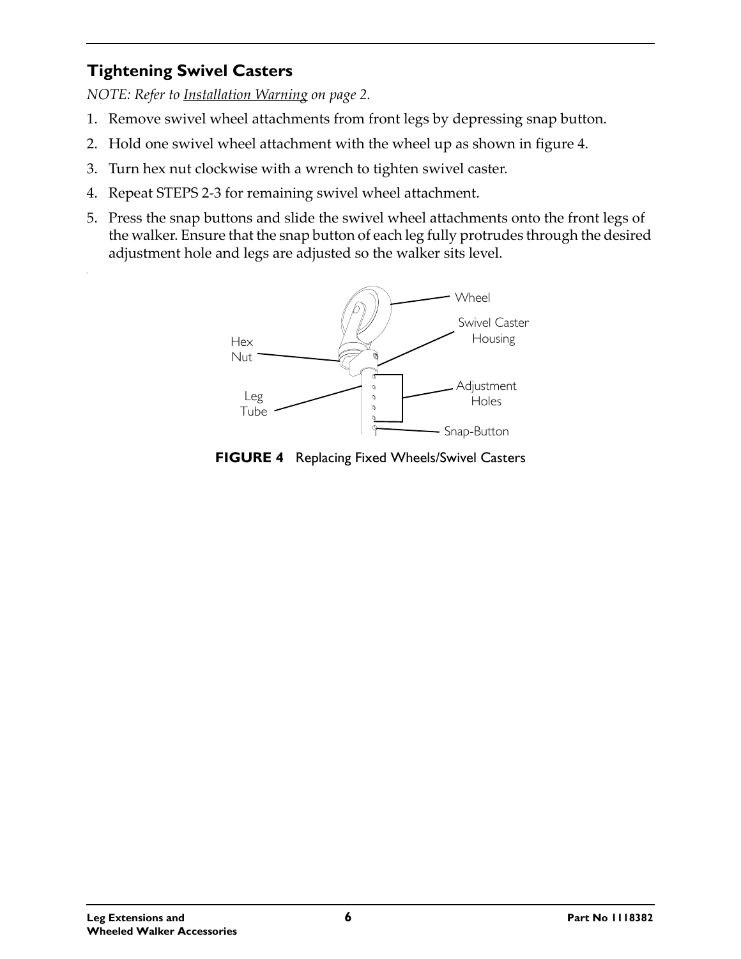#### **Tightening Swivel Casters**

*NOTE: Refer to [Installation](#page-1-0) Warning on page 2.*

- 1. Remove swivel wheel attachments from front legs by depressing snap button.
- 2. Hold one swivel wheel attachment with the wheel up as shown in figure 4.
- 3. Turn hex nut clockwise with a wrench to tighten swivel caster.
- 4. Repeat STEPS 2‐3 for remaining swivel wheel attachment.
- 5. Press the snap buttons and slide the swivel wheel attachments onto the front legs of the walker. Ensure that the snap button of each leg fully protrudes through the desired adjustment hole and legs are adjusted so the walker sits level.



<span id="page-5-0"></span>**FIGURE 4** [Replacing Fixed Wheels/Swivel Casters](#page-4-1)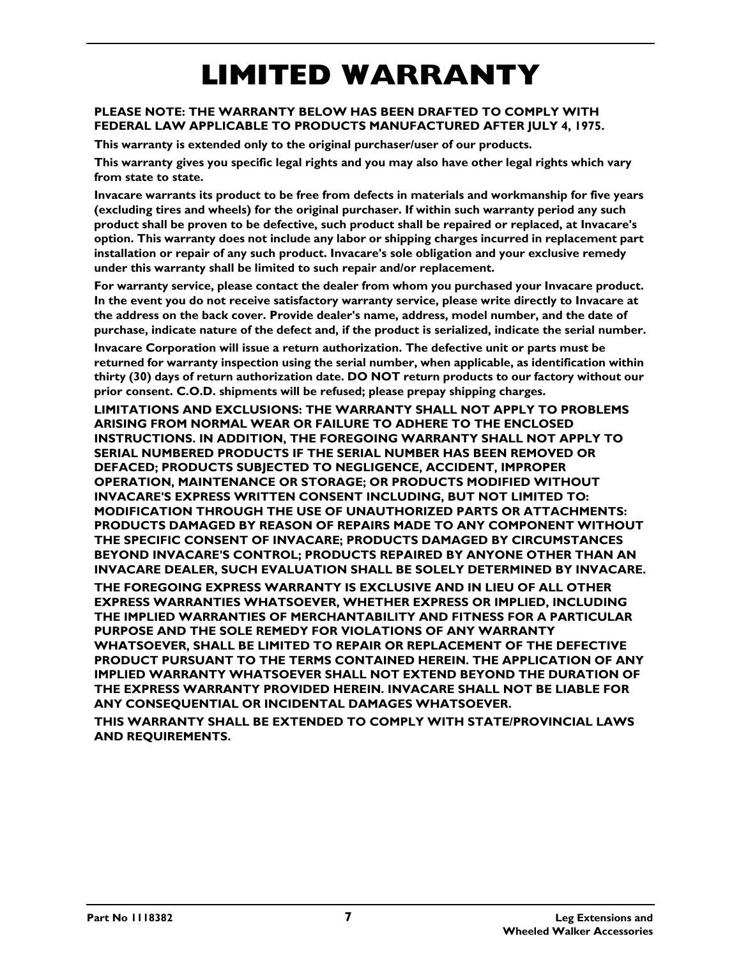# **LIMITED WARRANTY**

#### **PLEASE NOTE: THE WARRANTY BELOW HAS BEEN DRAFTED TO COMPLY WITH FEDERAL LAW APPLICABLE TO PRODUCTS MANUFACTURED AFTER JULY 4, 1975.**

**This warranty is extended only to the original purchaser/user of our products.**

**This warranty gives you specific legal rights and you may also have other legal rights which vary from state to state.**

**Invacare warrants its product to be free from defects in materials and workmanship for five years (excluding tires and wheels) for the original purchaser. If within such warranty period any such product shall be proven to be defective, such product shall be repaired or replaced, at Invacare's option. This warranty does not include any labor or shipping charges incurred in replacement part installation or repair of any such product. Invacare's sole obligation and your exclusive remedy under this warranty shall be limited to such repair and/or replacement.**

**For warranty service, please contact the dealer from whom you purchased your Invacare product. In the event you do not receive satisfactory warranty service, please write directly to Invacare at the address on the back cover. Provide dealer's name, address, model number, and the date of purchase, indicate nature of the defect and, if the product is serialized, indicate the serial number.**

**Invacare Corporation will issue a return authorization. The defective unit or parts must be returned for warranty inspection using the serial number, when applicable, as identification within thirty (30) days of return authorization date. DO NOT return products to our factory without our prior consent. C.O.D. shipments will be refused; please prepay shipping charges.**

**LIMITATIONS AND EXCLUSIONS: THE WARRANTY SHALL NOT APPLY TO PROBLEMS ARISING FROM NORMAL WEAR OR FAILURE TO ADHERE TO THE ENCLOSED INSTRUCTIONS. IN ADDITION, THE FOREGOING WARRANTY SHALL NOT APPLY TO SERIAL NUMBERED PRODUCTS IF THE SERIAL NUMBER HAS BEEN REMOVED OR DEFACED; PRODUCTS SUBJECTED TO NEGLIGENCE, ACCIDENT, IMPROPER OPERATION, MAINTENANCE OR STORAGE; OR PRODUCTS MODIFIED WITHOUT INVACARE'S EXPRESS WRITTEN CONSENT INCLUDING, BUT NOT LIMITED TO: MODIFICATION THROUGH THE USE OF UNAUTHORIZED PARTS OR ATTACHMENTS: PRODUCTS DAMAGED BY REASON OF REPAIRS MADE TO ANY COMPONENT WITHOUT THE SPECIFIC CONSENT OF INVACARE; PRODUCTS DAMAGED BY CIRCUMSTANCES BEYOND INVACARE'S CONTROL; PRODUCTS REPAIRED BY ANYONE OTHER THAN AN INVACARE DEALER, SUCH EVALUATION SHALL BE SOLELY DETERMINED BY INVACARE.**

**THE FOREGOING EXPRESS WARRANTY IS EXCLUSIVE AND IN LIEU OF ALL OTHER EXPRESS WARRANTIES WHATSOEVER, WHETHER EXPRESS OR IMPLIED, INCLUDING THE IMPLIED WARRANTIES OF MERCHANTABILITY AND FITNESS FOR A PARTICULAR PURPOSE AND THE SOLE REMEDY FOR VIOLATIONS OF ANY WARRANTY WHATSOEVER, SHALL BE LIMITED TO REPAIR OR REPLACEMENT OF THE DEFECTIVE PRODUCT PURSUANT TO THE TERMS CONTAINED HEREIN. THE APPLICATION OF ANY IMPLIED WARRANTY WHATSOEVER SHALL NOT EXTEND BEYOND THE DURATION OF THE EXPRESS WARRANTY PROVIDED HEREIN. INVACARE SHALL NOT BE LIABLE FOR ANY CONSEQUENTIAL OR INCIDENTAL DAMAGES WHATSOEVER.**

**THIS WARRANTY SHALL BE EXTENDED TO COMPLY WITH STATE/PROVINCIAL LAWS AND REQUIREMENTS.**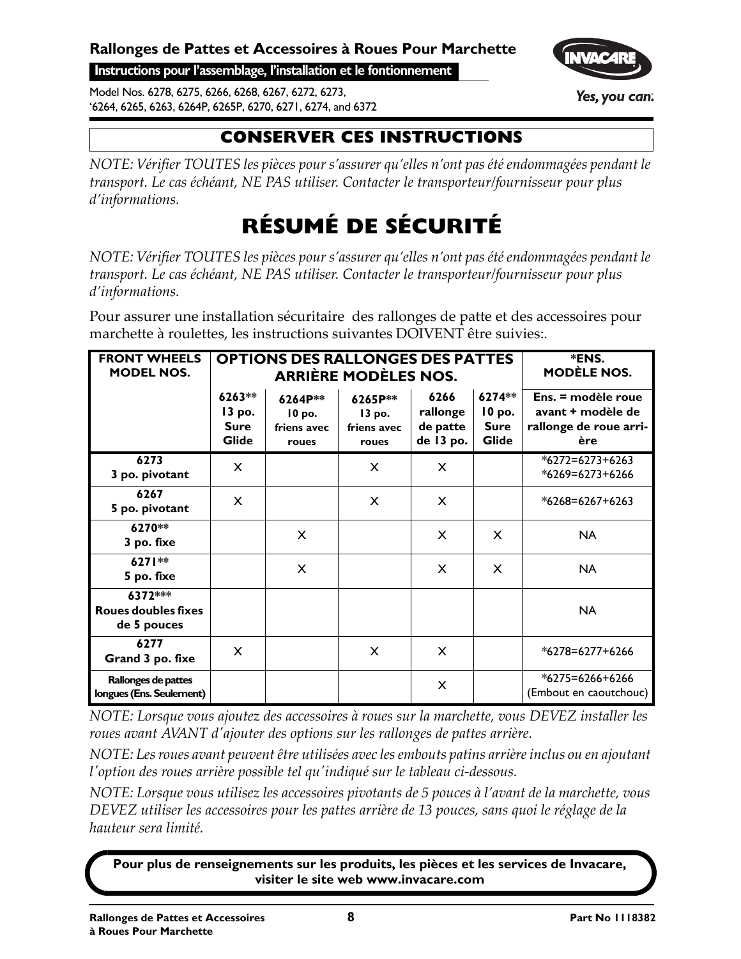**Instructions pour l'assemblage, l'installation et le fontionnement**

Model Nos. 6278, 6275, 6266, 6268, 6267, 6272, 6273, '6264, 6265, 6263, 6264P, 6265P, 6270, 6271, 6274, and 6372

### **CONSERVER CES INSTRUCTIONS**

*NOTE: Vérifier TOUTES les pièces pour s'assurer qu'elles n'ont pas été endommagées pendant le transport. Le cas échéant, NE PAS utiliser. Contacter le transporteur/fournisseur pour plus d'informations.*

# **RÉSUMÉ DE SÉCURITÉ**

*NOTE: Vérifier TOUTES les pièces pour s'assurer qu'elles n'ont pas été endommagées pendant le transport. Le cas échéant, NE PAS utiliser. Contacter le transporteur/fournisseur pour plus d'informations.*

Pour assurer une installation sécuritaire des rallonges de patte et des accessoires pour marchette à roulettes, les instructions suivantes DOIVENT être suivies:.

| <b>FRONT WHEELS</b><br><b>MODEL NOS.</b>             |                                                 | <b>OPTIONS DES RALLONGES DES PATTES</b><br><b>ARRIÈRE MODÈLES NOS.</b> | *ENS.<br><b>MODÈLE NOS.</b>               |                                           |                                          |                                                                          |
|------------------------------------------------------|-------------------------------------------------|------------------------------------------------------------------------|-------------------------------------------|-------------------------------------------|------------------------------------------|--------------------------------------------------------------------------|
|                                                      | 6263**<br>13 po.<br><b>Sure</b><br><b>Glide</b> | 6264P**<br>$10$ po.<br>friens avec<br>roues                            | 6265P**<br>13 po.<br>friens avec<br>roues | 6266<br>rallonge<br>de patte<br>de 13 po. | 6274**<br>10 po.<br><b>Sure</b><br>Glide | Ens. = modèle roue<br>avant + modèle de<br>rallonge de roue arri-<br>ère |
| 6273<br>3 po. pivotant                               | X                                               |                                                                        | $\times$                                  | X                                         |                                          | $*6272 = 6273 + 6263$<br>*6269=6273+6266                                 |
| 6267<br>5 po. pivotant                               | X                                               |                                                                        | $\times$                                  | X                                         |                                          | *6268=6267+6263                                                          |
| 6270**<br>3 po. fixe                                 |                                                 | X                                                                      |                                           | $\times$                                  | X                                        | <b>NA</b>                                                                |
| 6271**<br>5 po. fixe                                 |                                                 | X                                                                      |                                           | X                                         | X                                        | <b>NA</b>                                                                |
| 6372***<br><b>Roues doubles fixes</b><br>de 5 pouces |                                                 |                                                                        |                                           |                                           |                                          | <b>NA</b>                                                                |
| 6277<br>Grand 3 po. fixe                             | X                                               |                                                                        | $\times$                                  | X                                         |                                          | *6278=6277+6266                                                          |
| Rallonges de pattes<br>longues (Ens. Seulement)      |                                                 |                                                                        |                                           | X                                         |                                          | $*6275 = 6266 + 6266$<br>(Embout en caoutchouc)                          |

*NOTE: Lorsque vous ajoutez des accessoires à roues sur la marchette, vous DEVEZ installer les roues avant AVANT dʹajouter des options sur les rallonges de pattes arrière.*

*NOTE: Lesroues avant peuventêtre utilisées avec lesembouts patins arrièreinclus ou en ajoutant lʹoption des roues arrière possible tel quʹindiqué sur le tableau ci‐dessous.*

*NOTE: Lorsque vous utilisez les accessoires pivotants de 5 pouces à l'avant de la marchette, vous DEVEZ utiliser les accessoires pour les pattes arrière de 13 pouces, sans quoi le réglage de la hauteur sera limité.*

**Pour plus de renseignements sur les produits, les pièces et les services de Invacare, visiter le site web www.invacare.com**

Yes, you can: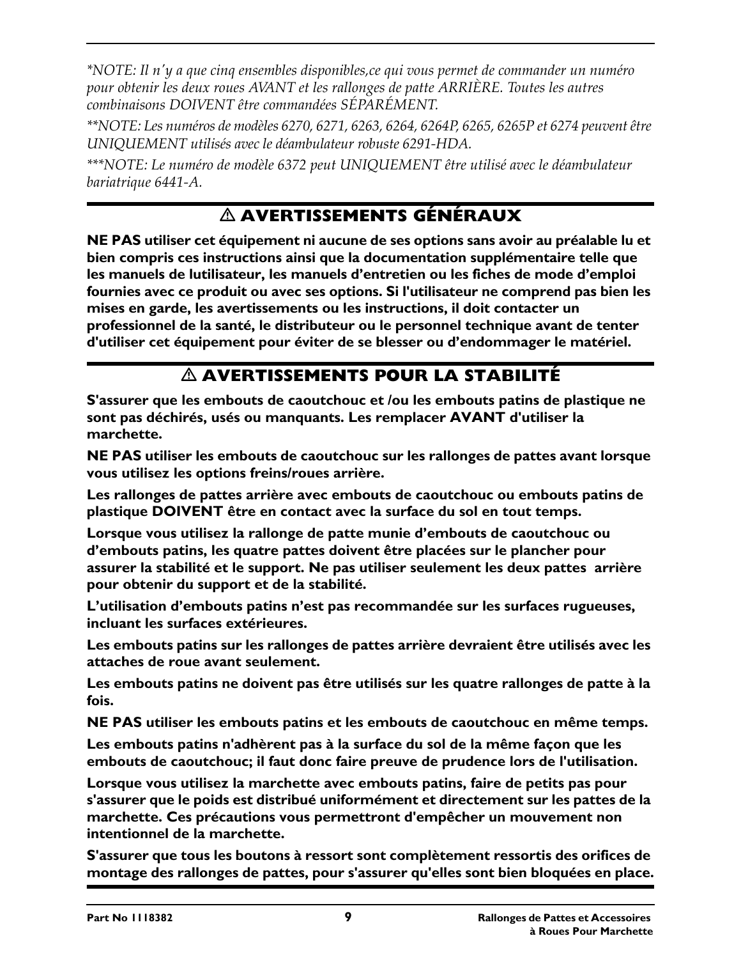*\*NOTE: Il nʹy a que cinq ensembles disponibles,ce qui vous permet de commander un numéro pour obtenir les deux roues AVANT et les rallonges de patte ARRIÈRE. Toutes les autres combinaisons DOIVENT être commandées SÉPARÉMENT.*

*\*\*NOTE: Les numéros de modèles 6270, 6271, 6263, 6264, 6264P, 6265, 6265P et 6274 peuventêtre UNIQUEMENT utilisés avec le déambulateur robuste 6291‐HDA.*

*\*\*\*NOTE: Le numéro de modèle 6372 peut UNIQUEMENT être utilisé avec le déambulateur bariatrique 6441‐A.*

#### **AVERTISSEMENTS GÉNÉRAUX**

**NE PAS utiliser cet équipement ni aucune de ses options sans avoir au préalable lu et bien compris ces instructions ainsi que la documentation supplémentaire telle que les manuels de lutilisateur, les manuels d'entretien ou les fiches de mode d'emploi fournies avec ce produit ou avec ses options. Si l'utilisateur ne comprend pas bien les mises en garde, les avertissements ou les instructions, il doit contacter un professionnel de la santé, le distributeur ou le personnel technique avant de tenter d'utiliser cet équipement pour éviter de se blesser ou d'endommager le matériel.**

#### **AVERTISSEMENTS POUR LA STABILITÉ**

**S'assurer que les embouts de caoutchouc et /ou les embouts patins de plastique ne sont pas déchirés, usés ou manquants. Les remplacer AVANT d'utiliser la marchette.**

**NE PAS utiliser les embouts de caoutchouc sur les rallonges de pattes avant lorsque vous utilisez les options freins/roues arrière.**

**Les rallonges de pattes arrière avec embouts de caoutchouc ou embouts patins de plastique DOIVENT être en contact avec la surface du sol en tout temps.** 

**Lorsque vous utilisez la rallonge de patte munie d'embouts de caoutchouc ou d'embouts patins, les quatre pattes doivent être placées sur le plancher pour assurer la stabilité et le support. Ne pas utiliser seulement les deux pattes arrière pour obtenir du support et de la stabilité.**

**L'utilisation d'embouts patins n'est pas recommandée sur les surfaces rugueuses, incluant les surfaces extérieures.**

**Les embouts patins sur les rallonges de pattes arrière devraient être utilisés avec les attaches de roue avant seulement.** 

**Les embouts patins ne doivent pas être utilisés sur les quatre rallonges de patte à la fois.**

**NE PAS utiliser les embouts patins et les embouts de caoutchouc en même temps.**

**Les embouts patins n'adhèrent pas à la surface du sol de la même façon que les embouts de caoutchouc; il faut donc faire preuve de prudence lors de l'utilisation.** 

**Lorsque vous utilisez la marchette avec embouts patins, faire de petits pas pour s'assurer que le poids est distribué uniformément et directement sur les pattes de la marchette. Ces précautions vous permettront d'empêcher un mouvement non intentionnel de la marchette.**

**S'assurer que tous les boutons à ressort sont complètement ressortis des orifices de montage des rallonges de pattes, pour s'assurer qu'elles sont bien bloquées en place.**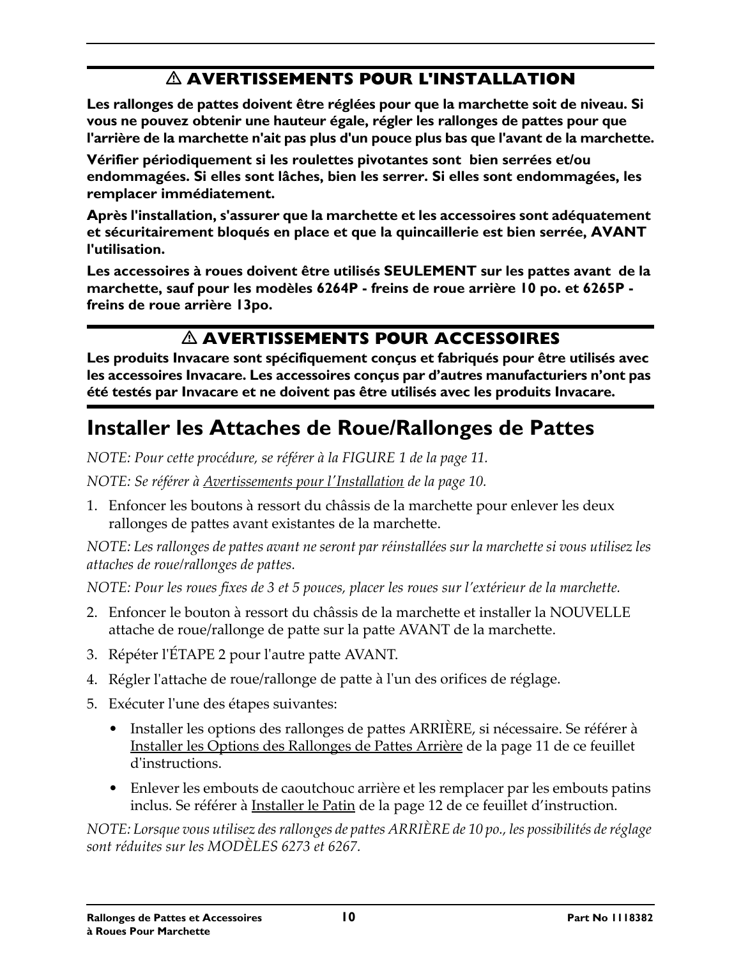### **AVERTISSEMENTS POUR L'INSTALLATION**

**Les rallonges de pattes doivent être réglées pour que la marchette soit de niveau. Si vous ne pouvez obtenir une hauteur égale, régler les rallonges de pattes pour que l'arrière de la marchette n'ait pas plus d'un pouce plus bas que l'avant de la marchette.**

**Vérifier périodiquement si les roulettes pivotantes sont bien serrées et/ou endommagées. Si elles sont lâches, bien les serrer. Si elles sont endommagées, les remplacer immédiatement.**

**Après l'installation, s'assurer que la marchette et les accessoires sont adéquatement et sécuritairement bloqués en place et que la quincaillerie est bien serrée, AVANT l'utilisation.**

**Les accessoires à roues doivent être utilisés SEULEMENT sur les pattes avant de la marchette, sauf pour les modèles 6264P - freins de roue arrière 10 po. et 6265P freins de roue arrière 13po.** 

#### **AVERTISSEMENTS POUR ACCESSOIRES**

**Les produits Invacare sont spécifiquement conçus et fabriqués pour être utilisés avec les accessoires Invacare. Les accessoires conçus par d'autres manufacturiers n'ont pas été testés par Invacare et ne doivent pas être utilisés avec les produits Invacare.** 

# **Installer les Attaches de Roue/Rallonges de Pattes**

*NOTE: Pour cette procédure, se référer à la FIGURE 1 de la page 11.*

*NOTE: Se référer à Avertissements pour lʹInstallation de la page 10.*

1. Enfoncer les boutons à ressort du châssis de la marchette pour enlever les deux rallonges de pattes avant existantes de la marchette.

*NOTE: Les rallonges de pattes avant ne seront par réinstallées sur la marchette si vous utilisez les attaches de roue/rallonges de pattes.*

*NOTE: Pour les roues fixes de 3 et 5 pouces, placer les roues sur l'extérieur de la marchette.*

- 2. Enfoncer le bouton à ressort du châssis de la marchette et installer la NOUVELLE attache de roue/rallonge de patte sur la patte AVANT de la marchette.
- 3. Répéter lʹÉTAPE 2 pour lʹautre patte AVANT.
- 4. Régler l'attache de roue/rallonge de patte à l'un des orifices de réglage.
- 5. Exécuter lʹune des étapes suivantes:
	- Installer les options des rallonges de pattes ARRIÈRE, si nécessaire. Se référer à Installer les Options des Rallonges de Pattes Arrière de la page 11 de ce feuillet d'instructions.
	- Enlever les embouts de caoutchouc arrière et les remplacer par les embouts patins inclus. Se référer à Installer le Patin de la page 12 de ce feuillet d'instruction.

*NOTE: Lorsque vous utilisez desrallonges de pattes ARRIÈRE de 10 po., les possibilités deréglage sont réduites sur les MODÈLES 6273 et 6267.*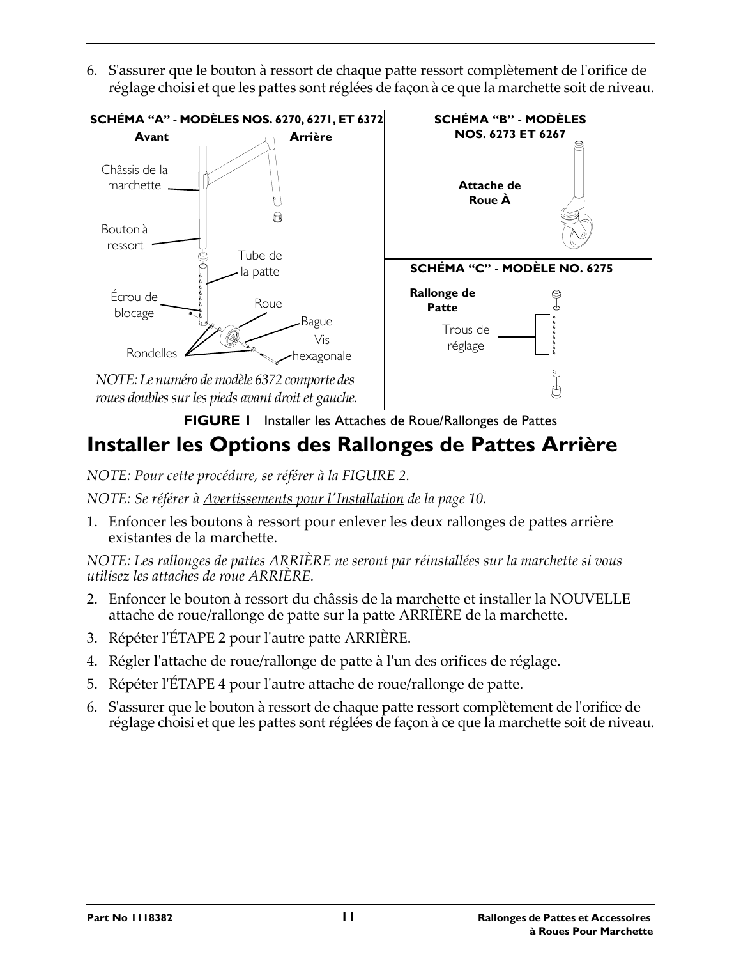6. Sʹassurer que le bouton à ressort de chaque patte ressort complètement de lʹorifice de réglage choisi et que les pattes sont réglées de façon à ce que la marchette soit de niveau.



**FIGURE 1** Installer les Attaches de Roue/Rallonges de Pattes

# **Installer les Options des Rallonges de Pattes Arrière**

*NOTE: Pour cette procédure, se référer à la FIGURE 2.*

*NOTE: Se référer à Avertissements pour lʹInstallation de la page 10.*

1. Enfoncer les boutons à ressort pour enlever les deux rallonges de pattes arrière existantes de la marchette.

*NOTE: Les rallonges de pattes ARRIÈRE ne seront par réinstallées sur la marchette si vous utilisez les attaches de roue ARRIÈRE.*

- 2. Enfoncer le bouton à ressort du châssis de la marchette et installer la NOUVELLE attache de roue/rallonge de patte sur la patte ARRIÈRE de la marchette.
- 3. Répéter lʹÉTAPE 2 pour lʹautre patte ARRIÈRE.
- 4. Régler l'attache de roue/rallonge de patte à l'un des orifices de réglage.
- 5. Répéter l'ÉTAPE 4 pour l'autre attache de roue/rallonge de patte.
- 6. Sʹassurer que le bouton à ressort de chaque patte ressort complètement de lʹorifice de réglage choisi et que les pattes sont réglées de façon à ce que la marchette soit de niveau.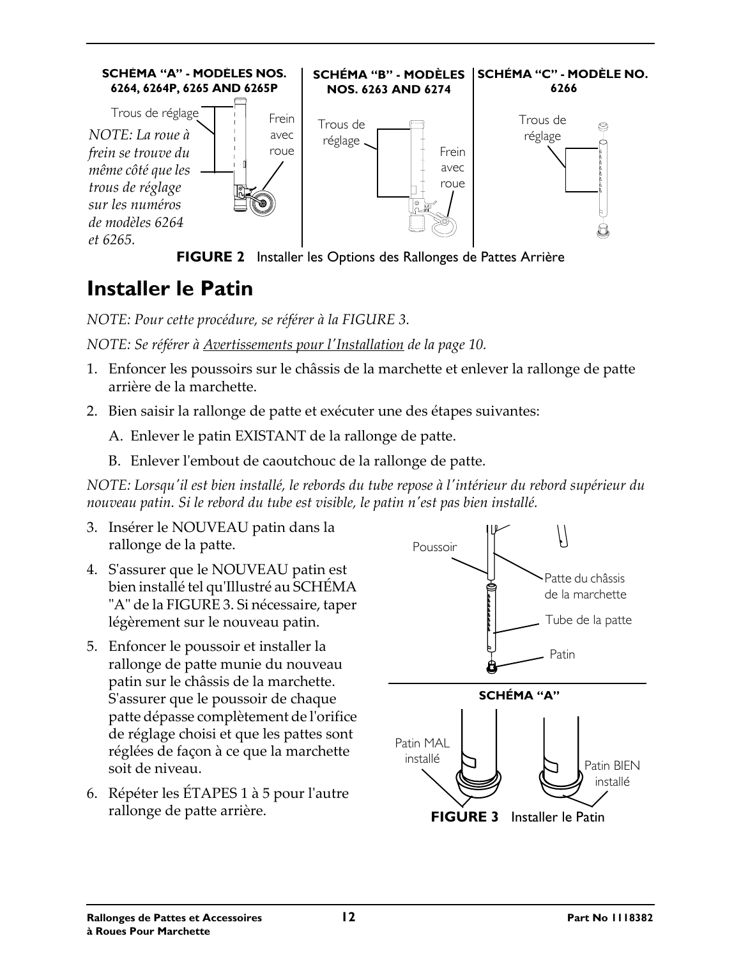

### **Installer le Patin**

*NOTE: Pour cette procédure, se référer à la FIGURE 3.*

#### *NOTE: Se référer à Avertissements pour lʹInstallation de la page 10.*

- 1. Enfoncer les poussoirs sur le châssis de la marchette et enlever la rallonge de patte arrière de la marchette.
- 2. Bien saisir la rallonge de patte et exécuter une des étapes suivantes:

A. Enlever le patin EXISTANT de la rallonge de patte.

B. Enlever l'embout de caoutchouc de la rallonge de patte.

NOTE: Lorsqu'il est bien installé, le rebords du tube repose à l'intérieur du rebord supérieur du *nouveau patin. Si le rebord du tube est visible, le patin nʹest pas bien installé.*

- 3. Insérer le NOUVEAU patin dans la rallonge de la patte.
- 4. Sʹassurer que le NOUVEAU patin est bien installé tel quʹIllustré au SCHÉMA ʺAʺ de la FIGURE 3. Si nécessaire, taper légèrement sur le nouveau patin.
- 5. Enfoncer le poussoir et installer la rallonge de patte munie du nouveau patin sur le châssis de la marchette. Sʹassurer que le poussoir de chaque patte dépasse complètement de lʹorifice de réglage choisi et que les pattes sont réglées de façon à ce que la marchette soit de niveau.
- 6. Répéter les ÉTAPES 1 à 5 pour lʹautre

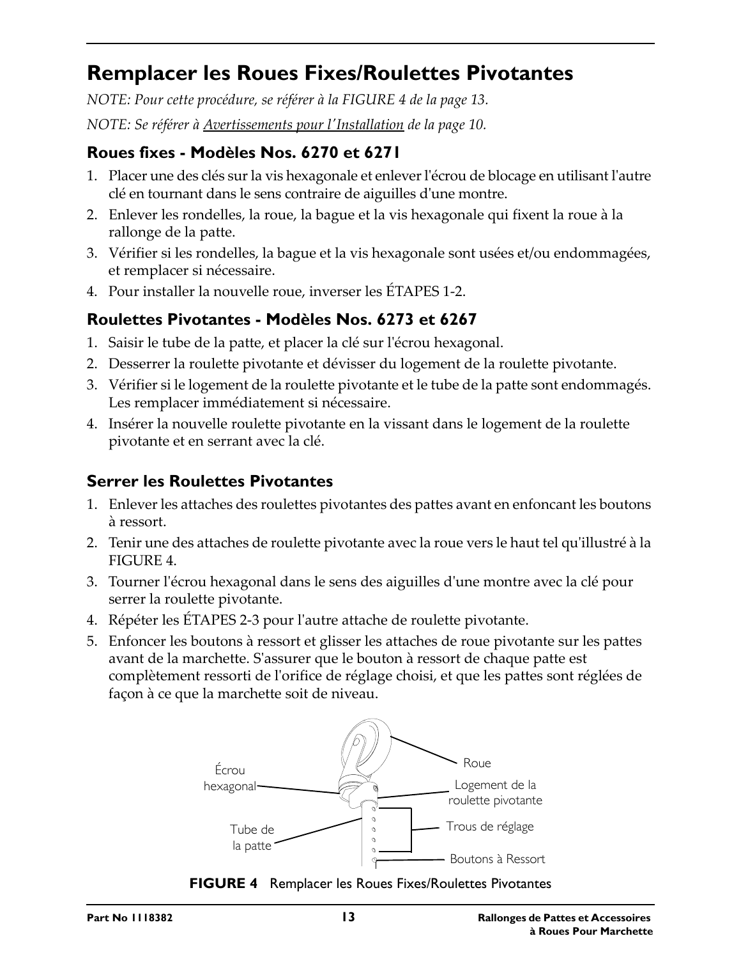## **Remplacer les Roues Fixes/Roulettes Pivotantes**

*NOTE: Pour cette procédure, se référer à la [FIGURE 4](#page-12-0) de la page 13.*

*NOTE: Se référer à Avertissements pour lʹInstallation de la page 10.*

#### **Roues fixes - Modèles Nos. 6270 et 6271**

- 1. Placer une des clés sur la vis hexagonale et enleverlʹécrou de blocage en utilisant lʹautre clé en tournant dans le sens contraire de aiguilles dʹune montre.
- 2. Enlever les rondelles, la roue, la bague et la vis hexagonale qui fixent la roue à la rallonge de la patte.
- 3. Vérifier si les rondelles, la bague et la vis hexagonale sont usées et/ou endommagées, et remplacer si nécessaire.
- 4. Pour installer la nouvelle roue, inverser les ÉTAPES 1‐2.

#### **Roulettes Pivotantes - Modèles Nos. 6273 et 6267**

- 1. Saisir le tube de la patte, et placer la clé sur lʹécrou hexagonal.
- 2. Desserrer la roulette pivotante et dévisser du logement de la roulette pivotante.
- 3. Vérifier si le logement de la roulette pivotante et le tube de la patte sont endommagés. Les remplacer immédiatement si nécessaire.
- 4. Insérer la nouvelle roulette pivotante en la vissant dans le logement de la roulette pivotante et en serrant avec la clé.

#### **Serrer les Roulettes Pivotantes**

- 1. Enlever les attaches des roulettes pivotantes des pattes avant en enfoncant les boutons à ressort.
- 2. Tenir une des attaches de roulette pivotante avec la roue vers le haut tel quʹillustré à la FIGURE 4.
- 3. Tourner lʹécrou hexagonal dans le sens des aiguilles dʹune montre avec la clé pour serrer la roulette pivotante.
- 4. Répéter les ÉTAPES 2‐3 pour lʹautre attache de roulette pivotante.
- 5. Enfoncer les boutons à ressort et glisser les attaches de roue pivotante sur les pattes avant de la marchette. Sʹassurer que le bouton à ressort de chaque patte est complètement ressorti de lʹorifice de réglage choisi, et que les pattes sont réglées de façon à ce que la marchette soit de niveau.



<span id="page-12-0"></span>**FIGURE 4** Remplacer les Roues Fixes/Roulettes Pivotantes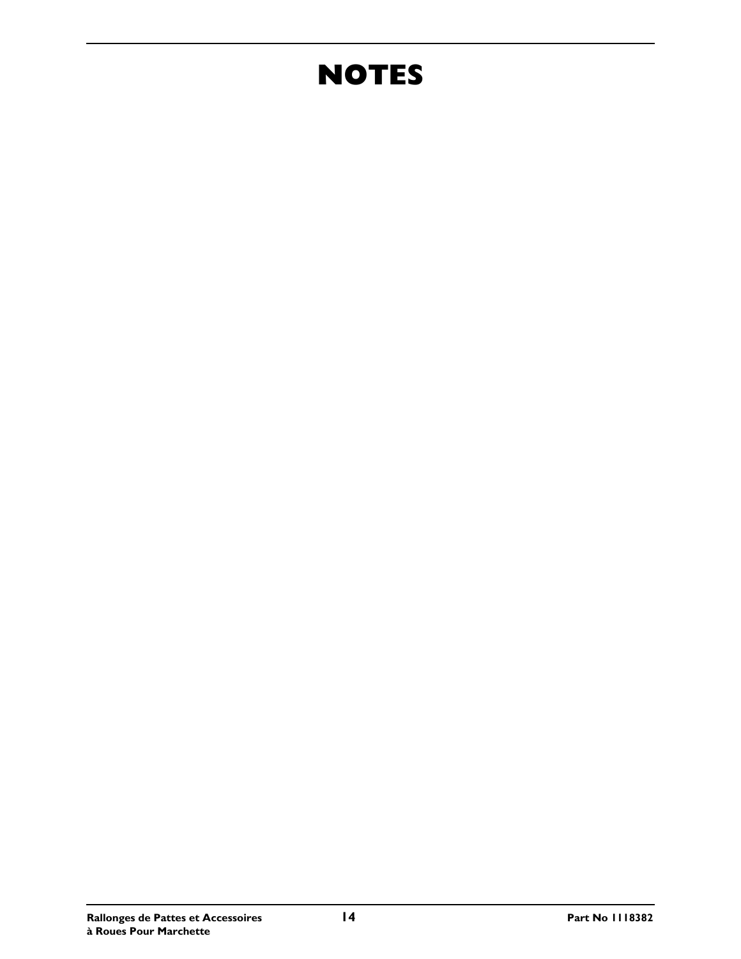# **NOTES**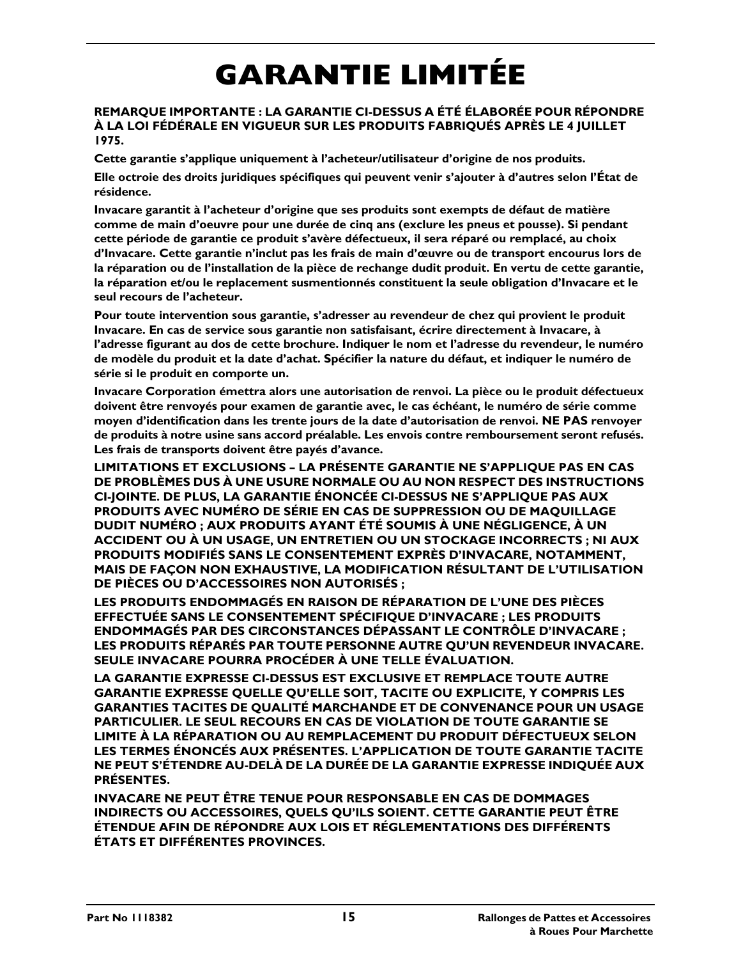# **GARANTIE LIMITÉE**

#### **REMARQUE IMPORTANTE : LA GARANTIE CI-DESSUS A ÉTÉ ÉLABORÉE POUR RÉPONDRE À LA LOI FÉDÉRALE EN VIGUEUR SUR LES PRODUITS FABRIQUÉS APRÈS LE 4 JUILLET 1975.**

**Cette garantie s'applique uniquement à l'acheteur/utilisateur d'origine de nos produits.**

**Elle octroie des droits juridiques spécifiques qui peuvent venir s'ajouter à d'autres selon l'État de résidence.**

**Invacare garantit à l'acheteur d'origine que ses produits sont exempts de défaut de matière comme de main d'oeuvre pour une durée de cinq ans (exclure les pneus et pousse). Si pendant cette période de garantie ce produit s'avère défectueux, il sera réparé ou remplacé, au choix d'Invacare. Cette garantie n'inclut pas les frais de main d'œuvre ou de transport encourus lors de la réparation ou de l'installation de la pièce de rechange dudit produit. En vertu de cette garantie, la réparation et/ou le replacement susmentionnés constituent la seule obligation d'Invacare et le seul recours de l'acheteur.**

**Pour toute intervention sous garantie, s'adresser au revendeur de chez qui provient le produit Invacare. En cas de service sous garantie non satisfaisant, écrire directement à Invacare, à l'adresse figurant au dos de cette brochure. Indiquer le nom et l'adresse du revendeur, le numéro de modèle du produit et la date d'achat. Spécifier la nature du défaut, et indiquer le numéro de série si le produit en comporte un.**

**Invacare Corporation émettra alors une autorisation de renvoi. La pièce ou le produit défectueux doivent être renvoyés pour examen de garantie avec, le cas échéant, le numéro de série comme moyen d'identification dans les trente jours de la date d'autorisation de renvoi. NE PAS renvoyer de produits à notre usine sans accord préalable. Les envois contre remboursement seront refusés. Les frais de transports doivent être payés d'avance.**

**LIMITATIONS ET EXCLUSIONS – LA PRÉSENTE GARANTIE NE S'APPLIQUE PAS EN CAS DE PROBLÈMES DUS À UNE USURE NORMALE OU AU NON RESPECT DES INSTRUCTIONS CI-JOINTE. DE PLUS, LA GARANTIE ÉNONCÉE CI-DESSUS NE S'APPLIQUE PAS AUX PRODUITS AVEC NUMÉRO DE SÉRIE EN CAS DE SUPPRESSION OU DE MAQUILLAGE DUDIT NUMÉRO ; AUX PRODUITS AYANT ÉTÉ SOUMIS À UNE NÉGLIGENCE, À UN ACCIDENT OU À UN USAGE, UN ENTRETIEN OU UN STOCKAGE INCORRECTS ; NI AUX PRODUITS MODIFIÉS SANS LE CONSENTEMENT EXPRÈS D'INVACARE, NOTAMMENT, MAIS DE FAÇON NON EXHAUSTIVE, LA MODIFICATION RÉSULTANT DE L'UTILISATION DE PIÈCES OU D'ACCESSOIRES NON AUTORISÉS ;**

**LES PRODUITS ENDOMMAGÉS EN RAISON DE RÉPARATION DE L'UNE DES PIÈCES EFFECTUÉE SANS LE CONSENTEMENT SPÉCIFIQUE D'INVACARE ; LES PRODUITS ENDOMMAGÉS PAR DES CIRCONSTANCES DÉPASSANT LE CONTRÔLE D'INVACARE ; LES PRODUITS RÉPARÉS PAR TOUTE PERSONNE AUTRE QU'UN REVENDEUR INVACARE. SEULE INVACARE POURRA PROCÉDER À UNE TELLE ÉVALUATION.**

**LA GARANTIE EXPRESSE CI-DESSUS EST EXCLUSIVE ET REMPLACE TOUTE AUTRE GARANTIE EXPRESSE QUELLE QU'ELLE SOIT, TACITE OU EXPLICITE, Y COMPRIS LES GARANTIES TACITES DE QUALITÉ MARCHANDE ET DE CONVENANCE POUR UN USAGE PARTICULIER. LE SEUL RECOURS EN CAS DE VIOLATION DE TOUTE GARANTIE SE LIMITE À LA RÉPARATION OU AU REMPLACEMENT DU PRODUIT DÉFECTUEUX SELON LES TERMES ÉNONCÉS AUX PRÉSENTES. L'APPLICATION DE TOUTE GARANTIE TACITE NE PEUT S'ÉTENDRE AU-DELÀ DE LA DURÉE DE LA GARANTIE EXPRESSE INDIQUÉE AUX PRÉSENTES.**

**INVACARE NE PEUT ÊTRE TENUE POUR RESPONSABLE EN CAS DE DOMMAGES INDIRECTS OU ACCESSOIRES, QUELS QU'ILS SOIENT. CETTE GARANTIE PEUT ÊTRE ÉTENDUE AFIN DE RÉPONDRE AUX LOIS ET RÉGLEMENTATIONS DES DIFFÉRENTS ÉTATS ET DIFFÉRENTES PROVINCES.**